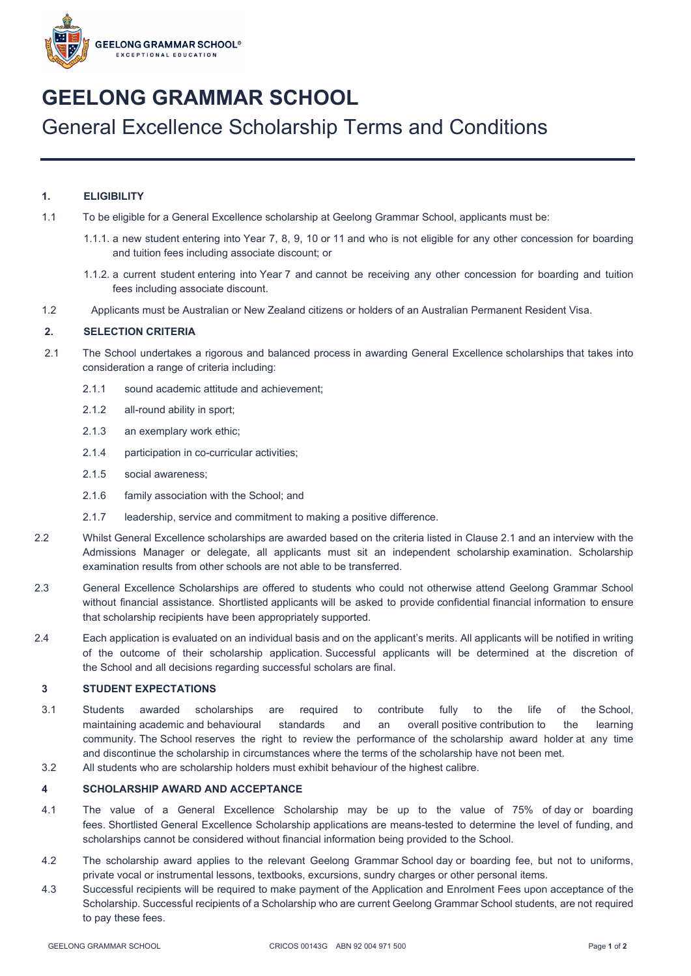

# **GEELONG GRAMMAR SCHOOL** General Excellence Scholarship Terms and Conditions

## **1. ELIGIBILITY**

- 1.1 To be eligible for a General Excellence scholarship at Geelong Grammar School, applicants must be:
	- 1.1.1. a new student entering into Year 7, 8, 9, 10 or 11 and who is not eligible for any other concession for boarding and tuition fees including associate discount; or
	- 1.1.2. a current student entering into Year 7 and cannot be receiving any other concession for boarding and tuition fees including associate discount.
- 1.2 Applicants must be Australian or New Zealand citizens or holders of an Australian Permanent Resident Visa.

### **2. SELECTION CRITERIA**

- 2.1 The School undertakes a rigorous and balanced process in awarding General Excellence scholarships that takes into consideration a range of criteria including:
	- 2.1.1 sound academic attitude and achievement;
	- 2.1.2 all-round ability in sport;
	- 2.1.3 an exemplary work ethic;
	- 2.1.4 participation in co-curricular activities;
	- 2.1.5 social awareness;
	- 2.1.6 family association with the School; and
	- 2.1.7 leadership, service and commitment to making a positive difference.
- 2.2 Whilst General Excellence scholarships are awarded based on the criteria listed in Clause 2.1 and an interview with the Admissions Manager or delegate, all applicants must sit an independent scholarship examination. Scholarship examination results from other schools are not able to be transferred.
- 2.3 General Excellence Scholarships are offered to students who could not otherwise attend Geelong Grammar School without financial assistance. Shortlisted applicants will be asked to provide confidential financial information to ensure that scholarship recipients have been appropriately supported.
- 2.4 Each application is evaluated on an individual basis and on the applicant's merits. All applicants will be notified in writing of the outcome of their scholarship application. Successful applicants will be determined at the discretion of the School and all decisions regarding successful scholars are final.

#### **3 STUDENT EXPECTATIONS**

- 3.1 Students awarded scholarships are required to contribute fully to the life of the School, maintaining academic and behavioural standards and an overall positive contribution to the learning community. The School reserves the right to review the performance of the scholarship award holder at any time and discontinue the scholarship in circumstances where the terms of the scholarship have not been met.
- 3.2 All students who are scholarship holders must exhibit behaviour of the highest calibre.

## **4 SCHOLARSHIP AWARD AND ACCEPTANCE**

- 4.1 The value of a General Excellence Scholarship may be up to the value of 75% of day or boarding fees. Shortlisted General Excellence Scholarship applications are means-tested to determine the level of funding, and scholarships cannot be considered without financial information being provided to the School.
- 4.2 The scholarship award applies to the relevant Geelong Grammar School day or boarding fee, but not to uniforms, private vocal or instrumental lessons, textbooks, excursions, sundry charges or other personal items.
- 4.3 Successful recipients will be required to make payment of the Application and Enrolment Fees upon acceptance of the Scholarship. Successful recipients of a Scholarship who are current Geelong Grammar School students, are not required to pay these fees.